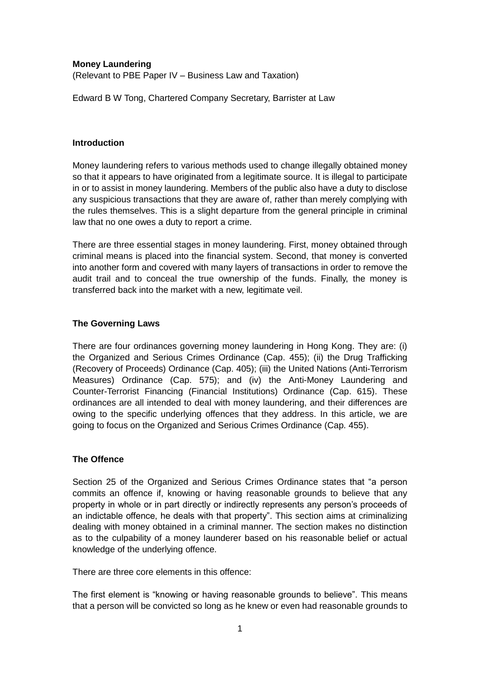### **Money Laundering**

(Relevant to PBE Paper IV – Business Law and Taxation)

Edward B W Tong, Chartered Company Secretary, Barrister at Law

### **Introduction**

Money laundering refers to various methods used to change illegally obtained money so that it appears to have originated from a legitimate source. It is illegal to participate in or to assist in money laundering. Members of the public also have a duty to disclose any suspicious transactions that they are aware of, rather than merely complying with the rules themselves. This is a slight departure from the general principle in criminal law that no one owes a duty to report a crime.

There are three essential stages in money laundering. First, money obtained through criminal means is placed into the financial system. Second, that money is converted into another form and covered with many layers of transactions in order to remove the audit trail and to conceal the true ownership of the funds. Finally, the money is transferred back into the market with a new, legitimate veil.

### **The Governing Laws**

There are four ordinances governing money laundering in Hong Kong. They are: (i) the Organized and Serious Crimes Ordinance (Cap. 455); (ii) the Drug Trafficking (Recovery of Proceeds) Ordinance (Cap. 405); (iii) the United Nations (Anti-Terrorism Measures) Ordinance (Cap. 575); and (iv) the Anti-Money Laundering and Counter-Terrorist Financing (Financial Institutions) Ordinance (Cap. 615). These ordinances are all intended to deal with money laundering, and their differences are owing to the specific underlying offences that they address. In this article, we are going to focus on the Organized and Serious Crimes Ordinance (Cap. 455).

### **The Offence**

Section 25 of the Organized and Serious Crimes Ordinance states that "a person commits an offence if, knowing or having reasonable grounds to believe that any property in whole or in part directly or indirectly represents any person's proceeds of an indictable offence, he deals with that property". This section aims at criminalizing dealing with money obtained in a criminal manner. The section makes no distinction as to the culpability of a money launderer based on his reasonable belief or actual knowledge of the underlying offence.

There are three core elements in this offence:

The first element is "knowing or having reasonable grounds to believe". This means that a person will be convicted so long as he knew or even had reasonable grounds to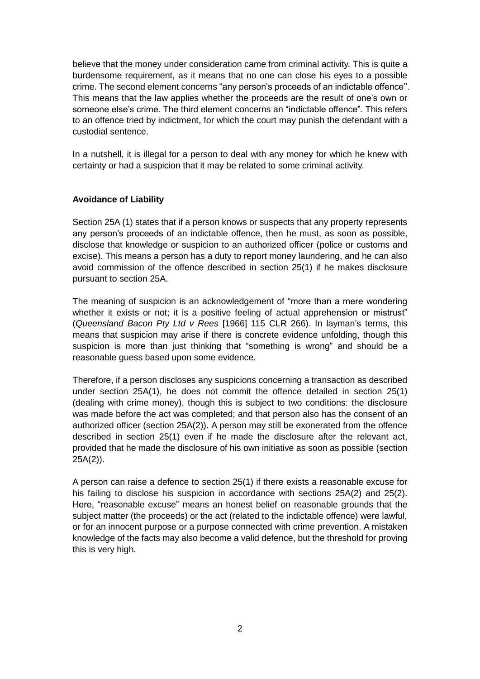believe that the money under consideration came from criminal activity. This is quite a burdensome requirement, as it means that no one can close his eyes to a possible crime. The second element concerns "any person's proceeds of an indictable offence''. This means that the law applies whether the proceeds are the result of one's own or someone else's crime. The third element concerns an "indictable offence". This refers to an offence tried by indictment, for which the court may punish the defendant with a custodial sentence.

In a nutshell, it is illegal for a person to deal with any money for which he knew with certainty or had a suspicion that it may be related to some criminal activity.

### **Avoidance of Liability**

Section 25A (1) states that if a person knows or suspects that any property represents any person's proceeds of an indictable offence, then he must, as soon as possible, disclose that knowledge or suspicion to an authorized officer (police or customs and excise). This means a person has a duty to report money laundering, and he can also avoid commission of the offence described in section 25(1) if he makes disclosure pursuant to section 25A.

The meaning of suspicion is an acknowledgement of "more than a mere wondering whether it exists or not; it is a positive feeling of actual apprehension or mistrust" (*Queensland Bacon Pty Ltd v Rees* [1966] 115 CLR 266). In layman's terms, this means that suspicion may arise if there is concrete evidence unfolding, though this suspicion is more than just thinking that "something is wrong" and should be a reasonable guess based upon some evidence.

Therefore, if a person discloses any suspicions concerning a transaction as described under section 25A(1), he does not commit the offence detailed in section 25(1) (dealing with crime money), though this is subject to two conditions: the disclosure was made before the act was completed; and that person also has the consent of an authorized officer (section 25A(2)). A person may still be exonerated from the offence described in section 25(1) even if he made the disclosure after the relevant act, provided that he made the disclosure of his own initiative as soon as possible (section 25A(2)).

A person can raise a defence to section 25(1) if there exists a reasonable excuse for his failing to disclose his suspicion in accordance with sections 25A(2) and 25(2). Here, "reasonable excuse" means an honest belief on reasonable grounds that the subject matter (the proceeds) or the act (related to the indictable offence) were lawful, or for an innocent purpose or a purpose connected with crime prevention. A mistaken knowledge of the facts may also become a valid defence, but the threshold for proving this is very high.